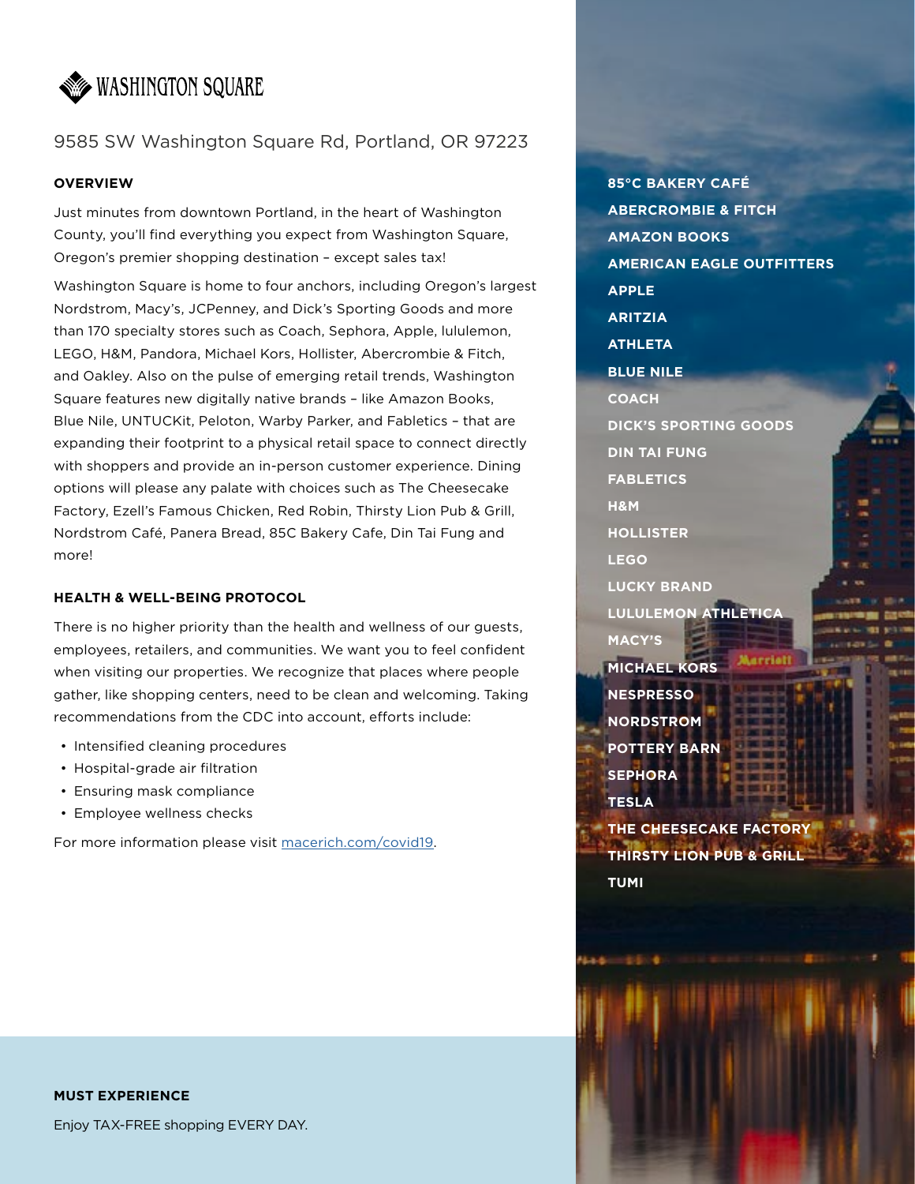

# 9585 SW Washington Square Rd, Portland, OR 97223

### **OVERVIEW**

Just minutes from downtown Portland, in the heart of Washington County, you'll find everything you expect from Washington Square, Oregon's premier shopping destination – except sales tax!

Washington Square is home to four anchors, including Oregon's largest Nordstrom, Macy's, JCPenney, and Dick's Sporting Goods and more than 170 specialty stores such as Coach, Sephora, Apple, lululemon, LEGO, H&M, Pandora, Michael Kors, Hollister, Abercrombie & Fitch, and Oakley. Also on the pulse of emerging retail trends, Washington Square features new digitally native brands – like Amazon Books, Blue Nile, UNTUCKit, Peloton, Warby Parker, and Fabletics – that are expanding their footprint to a physical retail space to connect directly with shoppers and provide an in-person customer experience. Dining options will please any palate with choices such as The Cheesecake Factory, Ezell's Famous Chicken, Red Robin, Thirsty Lion Pub & Grill, Nordstrom Café, Panera Bread, 85C Bakery Cafe, Din Tai Fung and more!

## **HEALTH & WELL-BEING PROTOCOL**

There is no higher priority than the health and wellness of our guests, employees, retailers, and communities. We want you to feel confident when visiting our properties. We recognize that places where people gather, like shopping centers, need to be clean and welcoming. Taking recommendations from the CDC into account, efforts include:

- Intensified cleaning procedures
- Hospital-grade air filtration
- Ensuring mask compliance
- Employee wellness checks

For more information please visit [macerich.com/covid19](http://macerich.com/covid19).

# **MUST EXPERIENCE**

Enjoy TAX-FREE shopping EVERY DAY.

**85°C BAKERY CAFÉ ABERCROMBIE & FITCH AMAZON BOOKS AMERICAN EAGLE OUTFITTERS APPLE ARITZIA ATHLETA BLUE NILE COACH DICK'S SPORTING GOODS DIN TAI FUNG FABLETICS H&M HOLLISTER LEGO LUCKY BRAND LULULEMON ATHLETICA MACY'S MICHAEL KORS NESPRESSO NORDSTROM POTTERY BARN SEPHORA TESLA THE CHEESECAKE FACTORY THIRSTY LION PUB & GRILL TUMI**